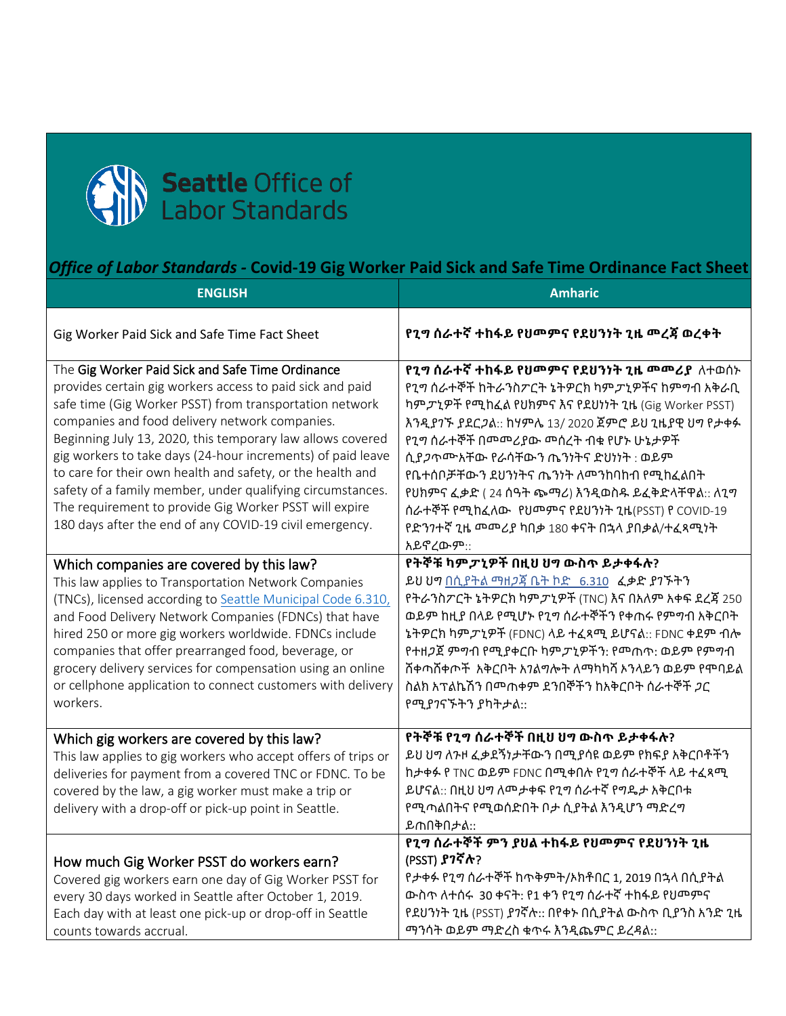

## *Office of Labor Standards -* **Covid-19 Gig Worker Paid Sick and Safe Time Ordinance Fact Sheet**

| <b>ENGLISH</b>                                                                                                                                                                                                                                                                                                                                                                                                                                                                                                                                                                                           | <b>Amharic</b>                                                                                                                                                                                                                                                                                                                                                                                                                                                                          |
|----------------------------------------------------------------------------------------------------------------------------------------------------------------------------------------------------------------------------------------------------------------------------------------------------------------------------------------------------------------------------------------------------------------------------------------------------------------------------------------------------------------------------------------------------------------------------------------------------------|-----------------------------------------------------------------------------------------------------------------------------------------------------------------------------------------------------------------------------------------------------------------------------------------------------------------------------------------------------------------------------------------------------------------------------------------------------------------------------------------|
| Gig Worker Paid Sick and Safe Time Fact Sheet                                                                                                                                                                                                                                                                                                                                                                                                                                                                                                                                                            | የጊግ ሰራተኛ ተከፋይ የህመምና የደህንነት ጊዜ መረጃ ወረቀት                                                                                                                                                                                                                                                                                                                                                                                                                                                  |
| The Gig Worker Paid Sick and Safe Time Ordinance<br>provides certain gig workers access to paid sick and paid<br>safe time (Gig Worker PSST) from transportation network<br>companies and food delivery network companies.<br>Beginning July 13, 2020, this temporary law allows covered<br>gig workers to take days (24-hour increments) of paid leave<br>to care for their own health and safety, or the health and<br>safety of a family member, under qualifying circumstances.<br>The requirement to provide Gig Worker PSST will expire<br>180 days after the end of any COVID-19 civil emergency. | የጊግ ሰራተኛ ተከፋይ የህመምና የደህንነት ጊዜ መመሪያ ለተወሰኑ<br>የጊግ ሰራተኞች ከትራንስፖርት ኔትዎርክ ካምፓኒዎችና ከምግብ አቅራቢ<br>ካም ፓኒዎች የሚከፈል የህክምና እና የደህነነት ጊዜ (Gig Worker PSST)<br>እንዲያገኙ ያደርጋል:: ከሃምሌ 13/ 2020 ጀምሮ ይህ ጊዜያዊ ህግ የታቀፉ<br>የጊግ ሰራተኞች በመመሪያው መሰረት ብቁ የሆኑ ሁኔታዎች<br>ሲያ <i>ጋ</i> ጥሙአቸው የራሳቸውን ጤንነትና ድህነነት: ወይም<br>የቤተሰቦቻቸውን ደህንነትና ጤንነት ለመንከባከብ የሚከፈልበት<br>የህክምና ፈቃድ (24 ሰዓት ጭማሪ) እንዲወስዱ ይፈቅድላቸዋል:: ለጊግ<br>ሰራተኞች የሚከፈለው የህመምና የደህንነት ጊዜ(PSST) የ COVID-19<br>የድንንተኛ ጊዜ መመሪያ ካበቃ 180 ቀናት በኋላ ያበቃል/ተፈጻሚነት<br>አይኖረውም:: |
| Which companies are covered by this law?<br>This law applies to Transportation Network Companies<br>(TNCs), licensed according to Seattle Municipal Code 6.310,<br>and Food Delivery Network Companies (FDNCs) that have<br>hired 250 or more gig workers worldwide. FDNCs include<br>companies that offer prearranged food, beverage, or<br>grocery delivery services for compensation using an online<br>or cellphone application to connect customers with delivery<br>workers.                                                                                                                       | የትኞቹ ካምፓኒዎች በዚህ ህግ ውስጥ ይታቀፋሉ?<br>ይህ ህግ በሲያትል ማዘ <i>ጋ</i> ጃ ቤት ኮድ 6.310 ፈቃድ ያንኙትን<br>የትራንስፖርት ኔትዎርክ ካም <i>ፓኒ</i> ዎች (TNC) እና በአለም አቀፍ ደረጃ 250<br>ወይም ከዚያ በላይ የሚሆኑ የጊግ ሰራተኞችን የቀጠሩ የምግብ አቅርቦት<br>ኔትዎርክ ካም <i>ፓኒ</i> ዎች (FDNC) ላይ ተፈጻሚ ይሆናል:: FDNC ቀደም ብሎ<br>የተዘ <i>ጋ</i> ጀ ምግብ የሚያቀርቡ ካም <i>ፓ</i> ኒዎችን: የመጠጥ: ወይም የምግብ<br>ሸቀጣሸቀጦች አቅርቦት አገልግሎት ለማካካሻ ኦንላይን ወይም የሞባይል<br>ስልክ አፕልኬሽን በመጠቀም ደንበኞችን ከአቅርቦት ሰራተኞች ጋር<br>የሚያንናኙትን ያካትታል::                                                       |
| Which gig workers are covered by this law?<br>This law applies to gig workers who accept offers of trips or<br>deliveries for payment from a covered TNC or FDNC. To be<br>covered by the law, a gig worker must make a trip or<br>delivery with a drop-off or pick-up point in Seattle.                                                                                                                                                                                                                                                                                                                 | የትኞቹ የጊግ ሰራተኞች በዚህ ህግ ውስጥ ይታቀፋሉ?<br>ይህ ህግ ለንዞ ፈቃደኝነታቸውን በሚያሳዩ ወይም የክፍያ አቅርቦቶችን<br>ከታቀፉ የ TNC ወይም FDNC በሚቀበሉ የጊግ ሰራተኞች ላይ ተፈጻሚ<br>ይሆናል:: በዚህ ህግ ለመታቀፍ የጊግ ሰራተኛ የግዴታ አቅርቦቱ<br>የሚጣልበትና የሚወሰድበት ቦታ ሲያትል እንዲሆን ማድረግ<br>ይጠበቅበታል::                                                                                                                                                                                                                                                             |
| How much Gig Worker PSST do workers earn?<br>Covered gig workers earn one day of Gig Worker PSST for<br>every 30 days worked in Seattle after October 1, 2019.<br>Each day with at least one pick-up or drop-off in Seattle<br>counts towards accrual.                                                                                                                                                                                                                                                                                                                                                   | የጊግ ሰራተኞች ምን ያህል ተከፋይ የህመምና የደህንነት ጊዜ<br>(PSST) <b>ያ</b> ንኛሉ?<br>የታቀፉ የጊግ ሰራተኞች ከጥቅምት/ኦክቶበር 1, 2019 በኋላ በሲያትል<br>ውስጥ ለተሰሩ 30 ቀናት: የ1 ቀን የጊግ ሰራተኛ ተከፋይ የህመምና<br>የደህንነት ጊዜ (PSST) ያገኛሉ:: በየቀኑ በሲያትል ውስጥ ቢያንስ አንድ ጊዜ<br>ማንሳት ወይም ማድረስ ቁጥሩ እንዲጨምር ይረዳል::                                                                                                                                                                                                                                    |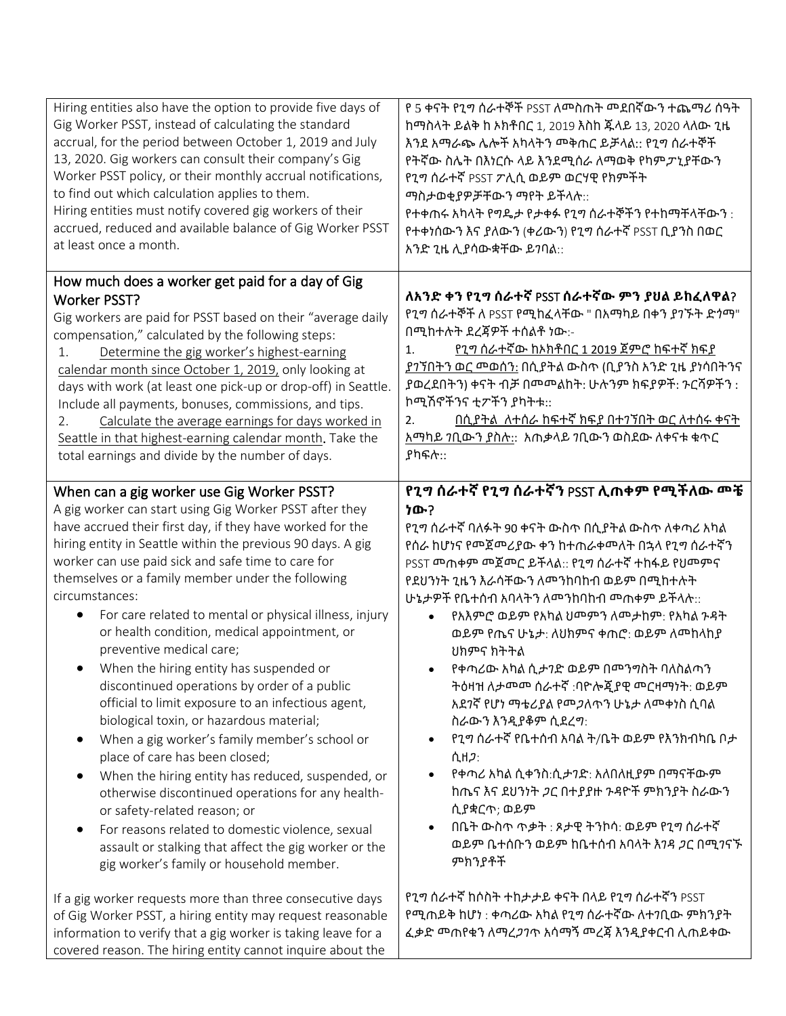| Hiring entities also have the option to provide five days of<br>Gig Worker PSST, instead of calculating the standard<br>accrual, for the period between October 1, 2019 and July<br>13, 2020. Gig workers can consult their company's Gig<br>Worker PSST policy, or their monthly accrual notifications,<br>to find out which calculation applies to them.<br>Hiring entities must notify covered gig workers of their<br>accrued, reduced and available balance of Gig Worker PSST<br>at least once a month.                                                                                                                                                                                                                                                                                                                                                                                                                                                                                                                                                                                                     | የ 5 ቀናት የጊግ ሰራተኞች PSST ለመስጠት መደበኛውን ተጨማሪ ሰዓት<br>ከማስላት ይልቅ ከ ኦክቶበር 1, 2019 እስከ ጁላይ 13, 2020 ላለው ጊዜ<br>እንደ አማራጭ ሌሎች አካላትን መቅጠር ይቻላል:: የጊግ ሰራተኞች<br>የትኛው ስሌት በእነርሱ ላይ እንደሚሰራ ለማወቅ የካምፓኒያቸውን<br>የጊግ ሰራተኛ PSST ፖሊሲ ወይም ወርሃዊ የክምችት<br>ማስታወቂያዎቻቸውን ማየት ይችላሉ::<br>የተቀጠሩ አካላት የግዴታ የታቀፉ የጊግ ሰራተኞችን የተከማቸላቸውን :<br>የተቀነሰውን እና ያለውን (ቀሪውን) የጊግ ሰራተኛ PSST ቢያንስ በወር<br>አንድ ጊዜ ሊያሳውቋቸው ይንባል::                                                                                                                                                                                                                                                                                                                                                                                                                              |
|-------------------------------------------------------------------------------------------------------------------------------------------------------------------------------------------------------------------------------------------------------------------------------------------------------------------------------------------------------------------------------------------------------------------------------------------------------------------------------------------------------------------------------------------------------------------------------------------------------------------------------------------------------------------------------------------------------------------------------------------------------------------------------------------------------------------------------------------------------------------------------------------------------------------------------------------------------------------------------------------------------------------------------------------------------------------------------------------------------------------|--------------------------------------------------------------------------------------------------------------------------------------------------------------------------------------------------------------------------------------------------------------------------------------------------------------------------------------------------------------------------------------------------------------------------------------------------------------------------------------------------------------------------------------------------------------------------------------------------------------------------------------------------------------------------------------------------------------------------------------------------------------------------------------------------------------|
| How much does a worker get paid for a day of Gig<br><b>Worker PSST?</b><br>Gig workers are paid for PSST based on their "average daily<br>compensation," calculated by the following steps:<br>Determine the gig worker's highest-earning<br>1.<br>calendar month since October 1, 2019, only looking at<br>days with work (at least one pick-up or drop-off) in Seattle.<br>Include all payments, bonuses, commissions, and tips.<br>Calculate the average earnings for days worked in<br>2.<br>Seattle in that highest-earning calendar month. Take the<br>total earnings and divide by the number of days.                                                                                                                                                                                                                                                                                                                                                                                                                                                                                                     | ለአንድ ቀን የጊግ ሰራተኛ PSST ሰራተኛው ምን ያህል ይከፈለዋል?<br>የጊግ ሰራተኞች ለ PSST የሚከፈላቸው " በአማካይ በቀን ያገኙት ድነማ"<br>በሚከተሉት ደረጃዎች ተሰልቶ ነው:-<br><u>የጊግ ሰራተኛው ከኦክቶበር 1 2019 ጀምሮ ከፍተኛ ክፍያ</u><br>1.<br>ያንኘበትን ወር መወሰን: በሲያትል ውስጥ (ቢያንስ አንድ ጊዜ ያነሳበትንና<br>ያወረደበትን) ቀናት ብቻ በመመልከት: ሁሉንም ክፍያዎች: ንርሻዎችን :<br>ኮሚሽኖችንና ቲፖችን ያካትቱ::<br><u>በሲያትል ለተሰራ ከፍተኛ ክፍያ በተንኝበት ወር ለተሰሩ ቀናት</u><br>2.<br><u>አማካይ ንቢውን ያስሉ:</u> : አጠቃላይ ንቢውን ወስደው ለቀናቱ ቁጥር<br>ያካፍሉ::                                                                                                                                                                                                                                                                                                                                                                                    |
| When can a gig worker use Gig Worker PSST?<br>A gig worker can start using Gig Worker PSST after they<br>have accrued their first day, if they have worked for the<br>hiring entity in Seattle within the previous 90 days. A gig<br>worker can use paid sick and safe time to care for<br>themselves or a family member under the following<br>circumstances:<br>For care related to mental or physical illness, injury<br>$\bullet$<br>or health condition, medical appointment, or<br>preventive medical care;<br>When the hiring entity has suspended or<br>discontinued operations by order of a public<br>official to limit exposure to an infectious agent,<br>biological toxin, or hazardous material;<br>When a gig worker's family member's school or<br>place of care has been closed;<br>When the hiring entity has reduced, suspended, or<br>otherwise discontinued operations for any health-<br>or safety-related reason; or<br>For reasons related to domestic violence, sexual<br>$\bullet$<br>assault or stalking that affect the gig worker or the<br>gig worker's family or household member. | የጊግ ሰራተኛ የጊግ ሰራተኛን PSST ሊጠቀም የሚችለው <b>መ</b> ቼ<br>ነው?<br>የጊግ ሰራተኛ ባለፉት 90 ቀናት ውስጥ በሲያትል ውስጥ ለቀጣሪ አካል<br>የሰራ ከሆነና የመጀመሪያው ቀን ከተጠራቀመለት በኋላ የጊግ ሰራተኛን<br>PSST መጠቀም መጀመር ይችላል:: የጊግ ሰራተኛ ተከፋይ የህመምና<br>የደሀንነት ጊዜን እራሳቸውን ለመንከባከብ ወይም በሚከተሉት<br>ሁኔታዎች የቤተሰብ አባላትን ለመንከባከብ መጠቀም ይችላሉ::<br>የአእምሮ ወይም የአካል ህመምን ለመታከም: የአካል ንዳት<br>ወይም የጤና ሁኔታ: ለህክምና ቀጠሮ: ወይም ለመከላከያ<br>ህክምና ክትትል<br>• የቀጣሪው አካል ሲታንድ ወይም በመንግስት ባለስልጣን<br>ትዕዛዝ ለታመመ ሰራተኛ :ባዮሎጂያዊ መርዛማነት: ወይም<br>አደንኛ የሆነ ማቴሪያል የመ <i>ጋ</i> ለጥን ሁኔታ ለመቀነስ ሲባል<br>ስራውን እንዲያቆም ሲደረግ:<br>የጊግ ሰራተኛ የቤተሰብ አባል ት/ቤት ወይም የእንክብካቤ ቦታ<br>$\bullet$<br>ሲዘ <i>ጋ</i> :<br>የቀጣሪ አካል ሲቀንስ:ሲታንድ: አለበለዚያም በማናቸውም<br>ከጤና እና ደህንነት ጋር በተያያዙ ንዳዮች ምክንያት ስራውን<br>ሲያቋርጥ; ወይም<br>በቤት ውስጥ ጥቃት : ጾታዊ ትንኮሳ: ወይም የጊግ ሰራተኛ<br>ወይም ቤተሰቡን ወይም ከቤተሰብ አባላት እ <i>ገዳ ጋ</i> ር በሚ <i>ገ</i> ናኙ<br>ምክንያቶች |
| If a gig worker requests more than three consecutive days<br>of Gig Worker PSST, a hiring entity may request reasonable<br>information to verify that a gig worker is taking leave for a<br>covered reason. The hiring entity cannot inquire about the                                                                                                                                                                                                                                                                                                                                                                                                                                                                                                                                                                                                                                                                                                                                                                                                                                                            | የጊግ ሰራተኛ ከሶስት ተከታታይ ቀናት በላይ የጊግ ሰራተኛን PSST<br>የሚጠይቅ ከሆነ : ቀጣሪው አካል የጊግ ሰራተኛው ለተንቢው ምክንያት<br>ፈቃድ መጠየቁን ለማረ <i>ጋገ</i> ጥ አሳማኝ መረጃ እንዲያቀርብ ሊጠይቀው                                                                                                                                                                                                                                                                                                                                                                                                                                                                                                                                                                                                                                                                 |